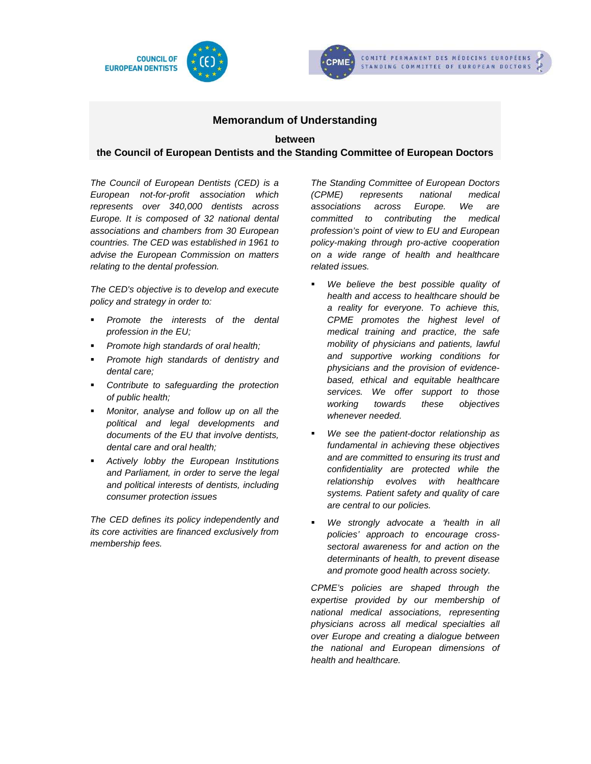



# **Memorandum of Understanding**

#### **between**

# **the Council of European Dentists and the Standing Committee of European Doctors**

The Council of European Dentists (CED) is a European not-for-profit association which represents over 340,000 dentists across Europe. It is composed of 32 national dental associations and chambers from 30 European countries. The CED was established in 1961 to advise the European Commission on matters relating to the dental profession.

The CED's objective is to develop and execute policy and strategy in order to:

- **Promote the interests of the dental** profession in the EU;
- Promote high standards of oral health;
- Promote high standards of dentistry and dental care;
- Contribute to safeguarding the protection of public health;
- **Monitor, analyse and follow up on all the** political and legal developments and documents of the EU that involve dentists, dental care and oral health;
- **Actively lobby the European Institutions** and Parliament, in order to serve the legal and political interests of dentists, including consumer protection issues

The CED defines its policy independently and its core activities are financed exclusively from membership fees.

The Standing Committee of European Doctors (CPME) represents national medical associations across Europe. We are committed to contributing the medical profession's point of view to EU and European policy-making through pro-active cooperation on a wide range of health and healthcare related issues.

- We believe the best possible quality of health and access to healthcare should be a reality for everyone. To achieve this, CPME promotes the highest level of medical training and practice, the safe mobility of physicians and patients, lawful and supportive working conditions for physicians and the provision of evidencebased, ethical and equitable healthcare services. We offer support to those working towards these objectives whenever needed.
- **We see the patient-doctor relationship as** fundamental in achieving these objectives and are committed to ensuring its trust and confidentiality are protected while the relationship evolves with healthcare systems. Patient safety and quality of care are central to our policies.
- We strongly advocate a 'health in all policies' approach to encourage crosssectoral awareness for and action on the determinants of health, to prevent disease and promote good health across society.

CPME's policies are shaped through the expertise provided by our membership of national medical associations, representing physicians across all medical specialties all over Europe and creating a dialogue between the national and European dimensions of health and healthcare.